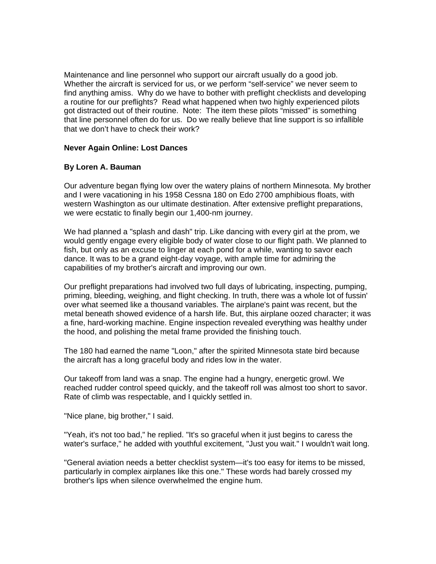Maintenance and line personnel who support our aircraft usually do a good job. Whether the aircraft is serviced for us, or we perform "self-service" we never seem to find anything amiss. Why do we have to bother with preflight checklists and developing a routine for our preflights? Read what happened when two highly experienced pilots got distracted out of their routine. Note: The item these pilots "missed" is something that line personnel often do for us. Do we really believe that line support is so infallible that we don't have to check their work?

## **Never Again Online: Lost Dances**

## **By Loren A. Bauman**

Our adventure began flying low over the watery plains of northern Minnesota. My brother and I were vacationing in his 1958 Cessna 180 on Edo 2700 amphibious floats, with western Washington as our ultimate destination. After extensive preflight preparations, we were ecstatic to finally begin our 1,400-nm journey.

We had planned a "splash and dash" trip. Like dancing with every girl at the prom, we would gently engage every eligible body of water close to our flight path. We planned to fish, but only as an excuse to linger at each pond for a while, wanting to savor each dance. It was to be a grand eight-day voyage, with ample time for admiring the capabilities of my brother's aircraft and improving our own.

Our preflight preparations had involved two full days of lubricating, inspecting, pumping, priming, bleeding, weighing, and flight checking. In truth, there was a whole lot of fussin' over what seemed like a thousand variables. The airplane's paint was recent, but the metal beneath showed evidence of a harsh life. But, this airplane oozed character; it was a fine, hard-working machine. Engine inspection revealed everything was healthy under the hood, and polishing the metal frame provided the finishing touch.

The 180 had earned the name "Loon," after the spirited Minnesota state bird because the aircraft has a long graceful body and rides low in the water.

Our takeoff from land was a snap. The engine had a hungry, energetic growl. We reached rudder control speed quickly, and the takeoff roll was almost too short to savor. Rate of climb was respectable, and I quickly settled in.

"Nice plane, big brother," I said.

"Yeah, it's not too bad," he replied. "It's so graceful when it just begins to caress the water's surface," he added with youthful excitement, "Just you wait." I wouldn't wait long.

"General aviation needs a better checklist system—it's too easy for items to be missed, particularly in complex airplanes like this one." These words had barely crossed my brother's lips when silence overwhelmed the engine hum.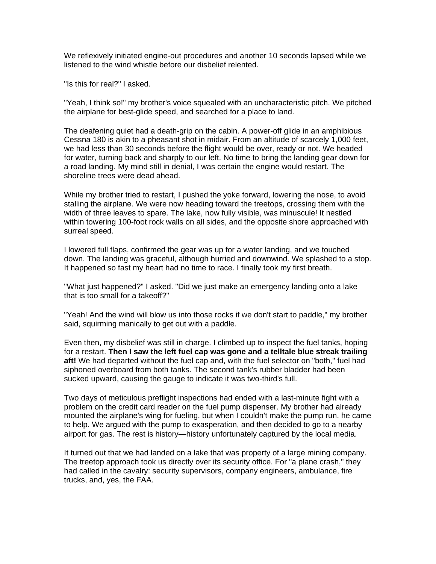We reflexively initiated engine-out procedures and another 10 seconds lapsed while we listened to the wind whistle before our disbelief relented.

"Is this for real?" I asked.

"Yeah, I think so!" my brother's voice squealed with an uncharacteristic pitch. We pitched the airplane for best-glide speed, and searched for a place to land.

The deafening quiet had a death-grip on the cabin. A power-off glide in an amphibious Cessna 180 is akin to a pheasant shot in midair. From an altitude of scarcely 1,000 feet, we had less than 30 seconds before the flight would be over, ready or not. We headed for water, turning back and sharply to our left. No time to bring the landing gear down for a road landing. My mind still in denial, I was certain the engine would restart. The shoreline trees were dead ahead.

While my brother tried to restart, I pushed the yoke forward, lowering the nose, to avoid stalling the airplane. We were now heading toward the treetops, crossing them with the width of three leaves to spare. The lake, now fully visible, was minuscule! It nestled within towering 100-foot rock walls on all sides, and the opposite shore approached with surreal speed.

I lowered full flaps, confirmed the gear was up for a water landing, and we touched down. The landing was graceful, although hurried and downwind. We splashed to a stop. It happened so fast my heart had no time to race. I finally took my first breath.

"What just happened?" I asked. "Did we just make an emergency landing onto a lake that is too small for a takeoff?"

"Yeah! And the wind will blow us into those rocks if we don't start to paddle," my brother said, squirming manically to get out with a paddle.

Even then, my disbelief was still in charge. I climbed up to inspect the fuel tanks, hoping for a restart. **Then I saw the left fuel cap was gone and a telltale blue streak trailing aft!** We had departed without the fuel cap and, with the fuel selector on "both," fuel had siphoned overboard from both tanks. The second tank's rubber bladder had been sucked upward, causing the gauge to indicate it was two-third's full.

Two days of meticulous preflight inspections had ended with a last-minute fight with a problem on the credit card reader on the fuel pump dispenser. My brother had already mounted the airplane's wing for fueling, but when I couldn't make the pump run, he came to help. We argued with the pump to exasperation, and then decided to go to a nearby airport for gas. The rest is history—history unfortunately captured by the local media.

It turned out that we had landed on a lake that was property of a large mining company. The treetop approach took us directly over its security office. For "a plane crash," they had called in the cavalry: security supervisors, company engineers, ambulance, fire trucks, and, yes, the FAA.